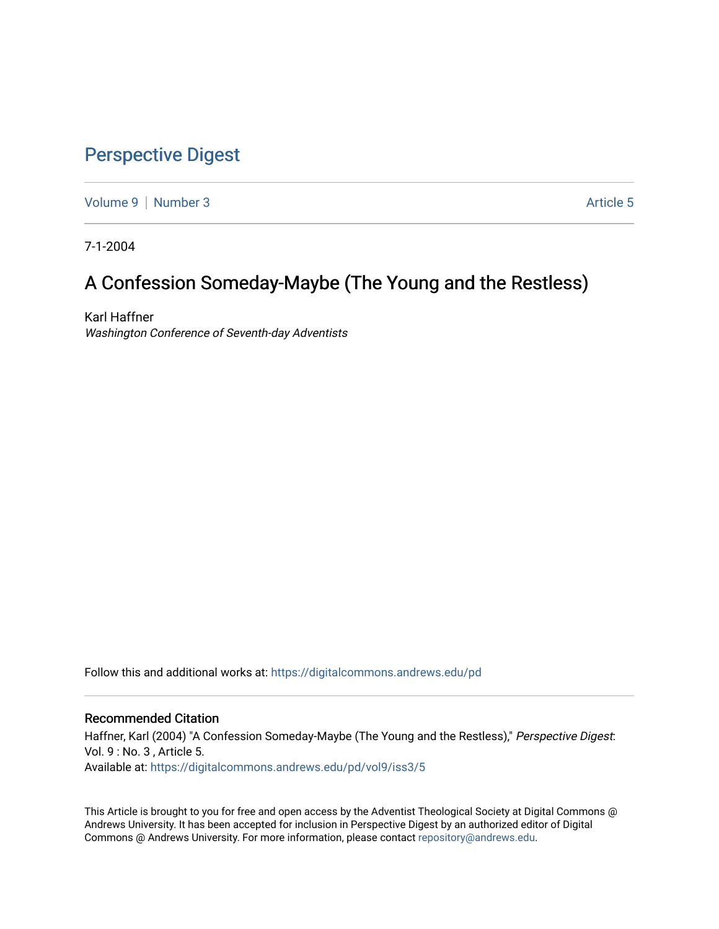# [Perspective Digest](https://digitalcommons.andrews.edu/pd)

[Volume 9](https://digitalcommons.andrews.edu/pd/vol9) | [Number 3](https://digitalcommons.andrews.edu/pd/vol9/iss3) Article 5

7-1-2004

# A Confession Someday-Maybe (The Young and the Restless)

Karl Haffner Washington Conference of Seventh-day Adventists

Follow this and additional works at: [https://digitalcommons.andrews.edu/pd](https://digitalcommons.andrews.edu/pd?utm_source=digitalcommons.andrews.edu%2Fpd%2Fvol9%2Fiss3%2F5&utm_medium=PDF&utm_campaign=PDFCoverPages)

### Recommended Citation

Haffner, Karl (2004) "A Confession Someday-Maybe (The Young and the Restless)," Perspective Digest: Vol. 9 : No. 3 , Article 5. Available at: [https://digitalcommons.andrews.edu/pd/vol9/iss3/5](https://digitalcommons.andrews.edu/pd/vol9/iss3/5?utm_source=digitalcommons.andrews.edu%2Fpd%2Fvol9%2Fiss3%2F5&utm_medium=PDF&utm_campaign=PDFCoverPages)

This Article is brought to you for free and open access by the Adventist Theological Society at Digital Commons @ Andrews University. It has been accepted for inclusion in Perspective Digest by an authorized editor of Digital Commons @ Andrews University. For more information, please contact [repository@andrews.edu.](mailto:repository@andrews.edu)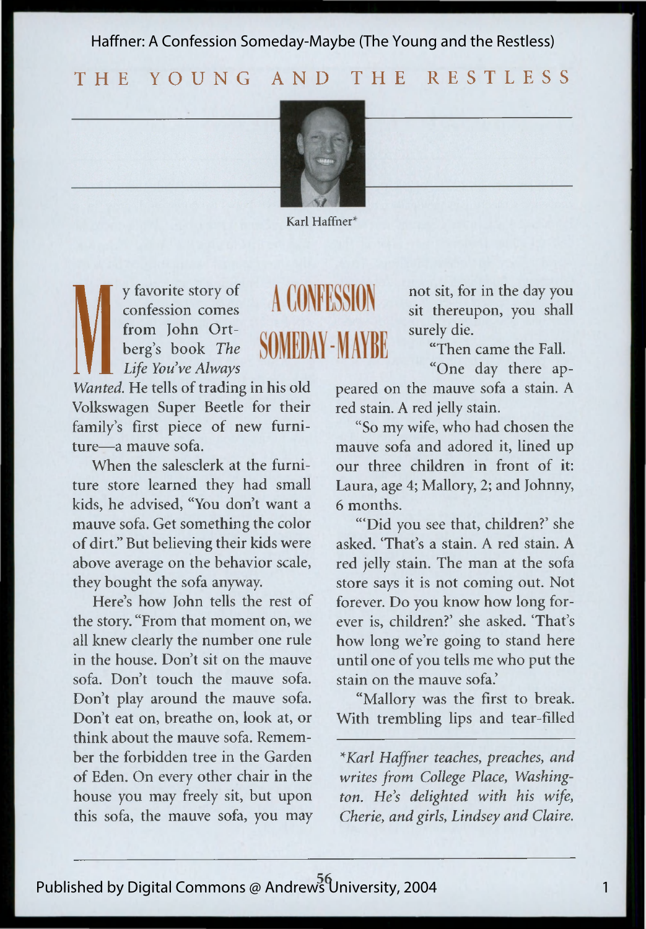Haffner: A Confession Someday-Maybe (The Young and the Restless)

## THE YOUNG AND THE RESTLESS



Karl Haffner<sup>\*</sup>

A CONFESSION

SOMEDAY - MAYRE

We favorite story of **A CONFESSIC**<br>
from John Ort-<br>
Life You've Always<br>
Wanted. He tells of trading in his old pear confession comes from John Ortberg's book *The Life You've Always*

Volkswagen Super Beetle for their family's first piece of new furniture—a mauve sofa.

When the salesclerk at the furniture store learned they had small kids, he advised, "You don't want a mauve sofa. Get something the color of dirt." But believing their kids were above average on the behavior scale, they bought the sofa anyway.

Here's how John tells the rest of the story. "From that moment on, we all knew clearly the number one rule in the house. Don't sit on the mauve sofa. Don't touch the mauve sofa. Don't play around the mauve sofa. Don't eat on, breathe on, look at, or think about the mauve sofa. Remember the forbidden tree in the Garden of Eden. On every other chair in the house you may freely sit, but upon this sofa, the mauve sofa, you may not sit, for in the day you sit thereupon, you shall surely die.

"Then came the Fall.

"One day there appeared on the mauve sofa a stain. A red stain. A red jelly stain.

"So my wife, who had chosen the mauve sofa and adored it, lined up our three children in front of it: Laura, age 4; Mallory, 2; and Johnny, 6 months.

"'Did you see that, children?' she asked. 'That's a stain. A red stain. A red jelly stain. The man at the sofa store says it is not coming out. Not forever. Do you know how long forever is, children?' she asked. 'That's how long we're going to stand here until one of you tells me who put the stain on the mauve sofa.'

"Mallory was the first to break. With trembling lips and tear-filled

*\*Karl Haffner teaches*, *preaches*, *and writes from College Place, Washington. He's delighted with his wife, Cherie, and girls*, *Lindsey and Claire.*